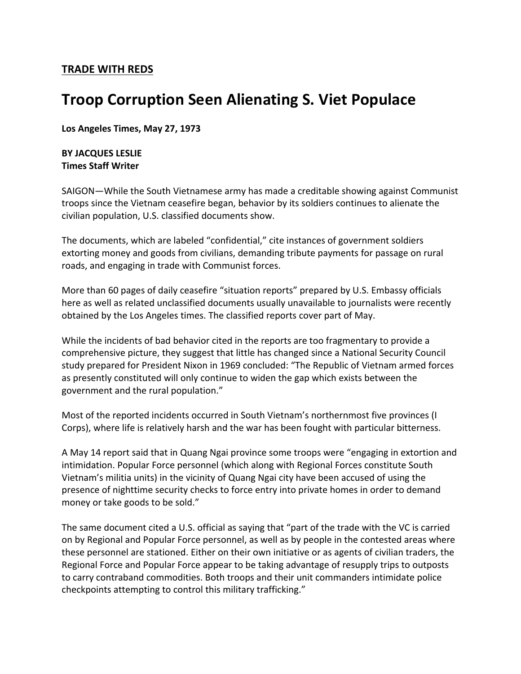## **TRADE WITH REDS**

## **Troop Corruption Seen Alienating S. Viet Populace**

**Los Angeles Times, May 27, 1973**

## **BY JACQUES LESLIE Times Staff Writer**

SAIGON—While the South Vietnamese army has made a creditable showing against Communist troops since the Vietnam ceasefire began, behavior by its soldiers continues to alienate the civilian population, U.S. classified documents show.

The documents, which are labeled "confidential," cite instances of government soldiers extorting money and goods from civilians, demanding tribute payments for passage on rural roads, and engaging in trade with Communist forces.

More than 60 pages of daily ceasefire "situation reports" prepared by U.S. Embassy officials here as well as related unclassified documents usually unavailable to journalists were recently obtained by the Los Angeles times. The classified reports cover part of May.

While the incidents of bad behavior cited in the reports are too fragmentary to provide a comprehensive picture, they suggest that little has changed since a National Security Council study prepared for President Nixon in 1969 concluded: "The Republic of Vietnam armed forces as presently constituted will only continue to widen the gap which exists between the government and the rural population."

Most of the reported incidents occurred in South Vietnam's northernmost five provinces (I Corps), where life is relatively harsh and the war has been fought with particular bitterness.

A May 14 report said that in Quang Ngai province some troops were "engaging in extortion and intimidation. Popular Force personnel (which along with Regional Forces constitute South Vietnam's militia units) in the vicinity of Quang Ngai city have been accused of using the presence of nighttime security checks to force entry into private homes in order to demand money or take goods to be sold."

The same document cited a U.S. official as saying that "part of the trade with the VC is carried on by Regional and Popular Force personnel, as well as by people in the contested areas where these personnel are stationed. Either on their own initiative or as agents of civilian traders, the Regional Force and Popular Force appear to be taking advantage of resupply trips to outposts to carry contraband commodities. Both troops and their unit commanders intimidate police checkpoints attempting to control this military trafficking."